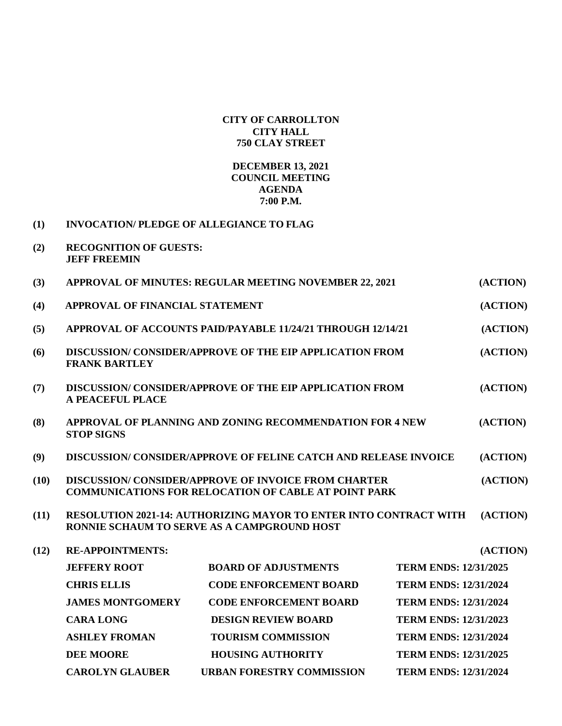## **CITY OF CARROLLTON CITY HALL 750 CLAY STREET**

## **DECEMBER 13, 2021 COUNCIL MEETING AGENDA 7:00 P.M.**

| (1) | <b>INVOCATION/PLEDGE OF ALLEGIANCE TO FLAG</b> |
|-----|------------------------------------------------|
|     |                                                |

**(2) RECOGNITION OF GUESTS: JEFF FREEMIN**

| (3)  | APPROVAL OF MINUTES: REGULAR MEETING NOVEMBER 22, 2021                                                                                     |                                                                         |                              | (ACTION)                     |  |
|------|--------------------------------------------------------------------------------------------------------------------------------------------|-------------------------------------------------------------------------|------------------------------|------------------------------|--|
| (4)  | APPROVAL OF FINANCIAL STATEMENT                                                                                                            |                                                                         |                              |                              |  |
| (5)  | <b>APPROVAL OF ACCOUNTS PAID/PAYABLE 11/24/21 THROUGH 12/14/21</b>                                                                         |                                                                         |                              |                              |  |
| (6)  | <b>DISCUSSION/CONSIDER/APPROVE OF THE EIP APPLICATION FROM</b><br><b>FRANK BARTLEY</b>                                                     |                                                                         |                              |                              |  |
| (7)  | A PEACEFUL PLACE                                                                                                                           | <b>DISCUSSION/ CONSIDER/APPROVE OF THE EIP APPLICATION FROM</b>         |                              | (ACTION)                     |  |
| (8)  | <b>STOP SIGNS</b>                                                                                                                          | APPROVAL OF PLANNING AND ZONING RECOMMENDATION FOR 4 NEW                |                              | (ACTION)                     |  |
| (9)  |                                                                                                                                            | <b>DISCUSSION/ CONSIDER/APPROVE OF FELINE CATCH AND RELEASE INVOICE</b> |                              | (ACTION)                     |  |
| (10) | <b>DISCUSSION/CONSIDER/APPROVE OF INVOICE FROM CHARTER</b><br><b>COMMUNICATIONS FOR RELOCATION OF CABLE AT POINT PARK</b>                  |                                                                         |                              |                              |  |
| (11) | <b>RESOLUTION 2021-14: AUTHORIZING MAYOR TO ENTER INTO CONTRACT WITH</b><br>(ACTION)<br><b>RONNIE SCHAUM TO SERVE AS A CAMPGROUND HOST</b> |                                                                         |                              |                              |  |
| (12) | <b>RE-APPOINTMENTS:</b>                                                                                                                    |                                                                         |                              | (ACTION)                     |  |
|      | <b>JEFFERY ROOT</b>                                                                                                                        | <b>BOARD OF ADJUSTMENTS</b>                                             | <b>TERM ENDS: 12/31/2025</b> |                              |  |
|      | <b>CHRIS ELLIS</b>                                                                                                                         | <b>CODE ENFORCEMENT BOARD</b>                                           | <b>TERM ENDS: 12/31/2024</b> |                              |  |
|      | <b>JAMES MONTGOMERY</b>                                                                                                                    | <b>CODE ENFORCEMENT BOARD</b>                                           |                              | <b>TERM ENDS: 12/31/2024</b> |  |
|      | <b>CARA LONG</b>                                                                                                                           | <b>DESIGN REVIEW BOARD</b>                                              | <b>TERM ENDS: 12/31/2023</b> |                              |  |
|      | <b>ASHLEY FROMAN</b>                                                                                                                       | <b>TOURISM COMMISSION</b>                                               | <b>TERM ENDS: 12/31/2024</b> |                              |  |
|      | <b>DEE MOORE</b>                                                                                                                           | <b>HOUSING AUTHORITY</b>                                                | <b>TERM ENDS: 12/31/2025</b> |                              |  |
|      | <b>CAROLYN GLAUBER</b>                                                                                                                     | <b>URBAN FORESTRY COMMISSION</b>                                        | <b>TERM ENDS: 12/31/2024</b> |                              |  |